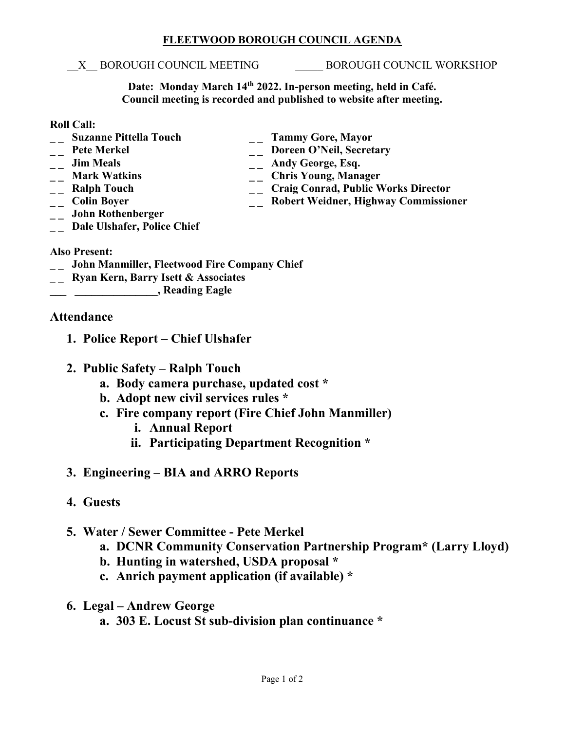### **FLEETWOOD BOROUGH COUNCIL AGENDA**

#### X BOROUGH COUNCIL MEETING BOROUGH COUNCIL WORKSHOP

**Date: Monday March 14th 2022. In-person meeting, held in Café. Council meeting is recorded and published to website after meeting.**

### **Roll Call:**

- 
- 
- 
- 
- 
- 
- **\_ \_ John Rothenberger**
- **\_ \_ Suzanne Pittella Touch \_ \_ Tammy Gore, Mayor** <sup>--</sup> Pete Merkel <sup>--</sup> Doreen O'Neil, Secretary<br>
<sup>--</sup> Doreen O'Neil, Secretary<br>
<sup>--</sup> Andy George, Esq.
	-
- -- **Jim Meals** -- **Andy George, Esq.**<br>
-- **Mark Watkins** -- **Chris Young, Mana**
- <sup>1</sup> \_\_ Mark Watkins \_\_ Chris Young, Manager<br>
\_\_ Ralph Touch \_\_ Craig Conrad, Public V
- **\_ \_ Ralph Touch \_ \_ Craig Conrad, Public Works Director \_\_ Robert Weidner, Highway Commissioner**
- **\_ \_ Dale Ulshafer, Police Chief**

## **Also Present:**

- **\_ \_ John Manmiller, Fleetwood Fire Company Chief**
- **\_ \_ Ryan Kern, Barry Isett & Associates**
- **\_\_\_ \_\_\_\_\_\_\_\_\_\_\_\_\_\_\_, Reading Eagle**

# **Attendance**

- **1. Police Report – Chief Ulshafer**
- **2. Public Safety – Ralph Touch**
	- **a. Body camera purchase, updated cost \***
	- **b. Adopt new civil services rules \***
	- **c. Fire company report (Fire Chief John Manmiller)**
		- **i. Annual Report**
		- **ii. Participating Department Recognition \***

# **3. Engineering – BIA and ARRO Reports**

**4. Guests**

# **5. Water / Sewer Committee - Pete Merkel**

- **a. DCNR Community Conservation Partnership Program\* (Larry Lloyd)**
- **b. Hunting in watershed, USDA proposal \***
- **c. Anrich payment application (if available) \***
- **6. Legal – Andrew George**
	- **a. 303 E. Locust St sub-division plan continuance \***